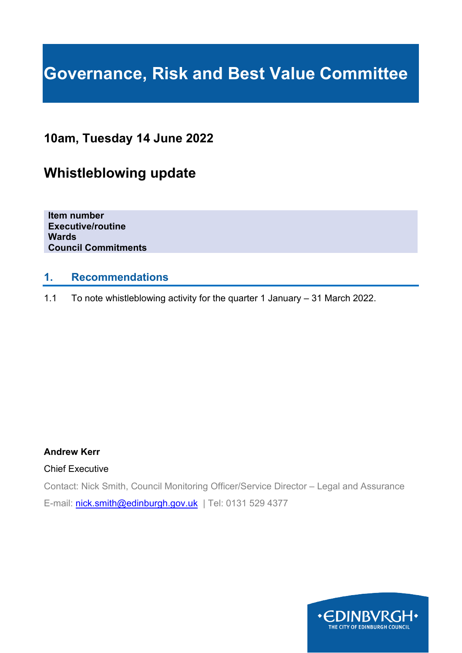# **Governance, Risk and Best Value Committee**

# **10am, Tuesday 14 June 2022**

# **Whistleblowing update**

**Item number Executive/routine Wards Council Commitments**

### **1. Recommendations**

1.1 To note whistleblowing activity for the quarter 1 January – 31 March 2022.

#### **Andrew Kerr**

#### Chief Executive

Contact: Nick Smith, Council Monitoring Officer/Service Director – Legal and Assurance E-mail: [nick.smith@edinburgh.gov.uk](mailto:nick.smith@edinburgh.gov.uk) | Tel: 0131 529 4377

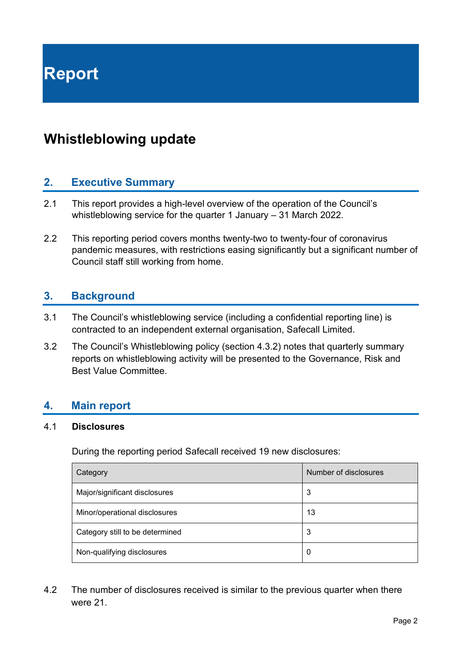# **Whistleblowing update**

# **2. Executive Summary**

- 2.1 This report provides a high-level overview of the operation of the Council's whistleblowing service for the quarter 1 January – 31 March 2022.
- 2.2 This reporting period covers months twenty-two to twenty-four of coronavirus pandemic measures, with restrictions easing significantly but a significant number of Council staff still working from home.

## **3. Background**

- 3.1 The Council's whistleblowing service (including a confidential reporting line) is contracted to an independent external organisation, Safecall Limited.
- 3.2 The Council's Whistleblowing policy (section 4.3.2) notes that quarterly summary reports on whistleblowing activity will be presented to the Governance, Risk and Best Value Committee.

#### **4. Main report**

#### 4.1 **Disclosures**

During the reporting period Safecall received 19 new disclosures:

| Category                        | Number of disclosures |
|---------------------------------|-----------------------|
| Major/significant disclosures   | 3                     |
| Minor/operational disclosures   | 13                    |
| Category still to be determined | 3                     |
| Non-qualifying disclosures      | 0                     |

4.2 The number of disclosures received is similar to the previous quarter when there were 21.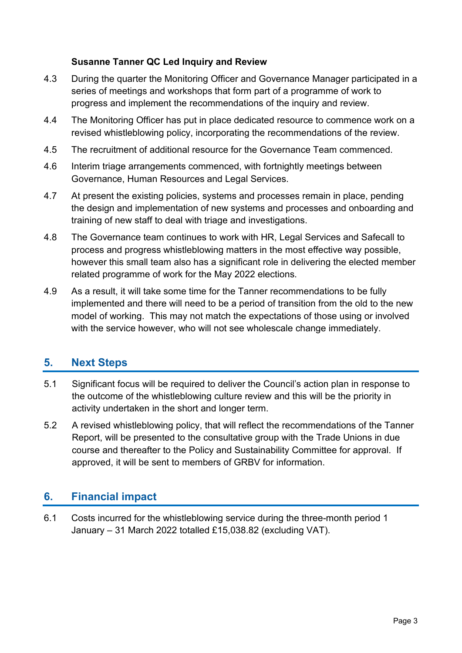#### **Susanne Tanner QC Led Inquiry and Review**

- 4.3 During the quarter the Monitoring Officer and Governance Manager participated in a series of meetings and workshops that form part of a programme of work to progress and implement the recommendations of the inquiry and review.
- 4.4 The Monitoring Officer has put in place dedicated resource to commence work on a revised whistleblowing policy, incorporating the recommendations of the review.
- 4.5 The recruitment of additional resource for the Governance Team commenced.
- 4.6 Interim triage arrangements commenced, with fortnightly meetings between Governance, Human Resources and Legal Services.
- 4.7 At present the existing policies, systems and processes remain in place, pending the design and implementation of new systems and processes and onboarding and training of new staff to deal with triage and investigations.
- 4.8 The Governance team continues to work with HR, Legal Services and Safecall to process and progress whistleblowing matters in the most effective way possible, however this small team also has a significant role in delivering the elected member related programme of work for the May 2022 elections.
- 4.9 As a result, it will take some time for the Tanner recommendations to be fully implemented and there will need to be a period of transition from the old to the new model of working. This may not match the expectations of those using or involved with the service however, who will not see wholescale change immediately.

## **5. Next Steps**

- 5.1 Significant focus will be required to deliver the Council's action plan in response to the outcome of the whistleblowing culture review and this will be the priority in activity undertaken in the short and longer term.
- 5.2 A revised whistleblowing policy, that will reflect the recommendations of the Tanner Report, will be presented to the consultative group with the Trade Unions in due course and thereafter to the Policy and Sustainability Committee for approval. If approved, it will be sent to members of GRBV for information.

# **6. Financial impact**

6.1 Costs incurred for the whistleblowing service during the three-month period 1 January – 31 March 2022 totalled £15,038.82 (excluding VAT).